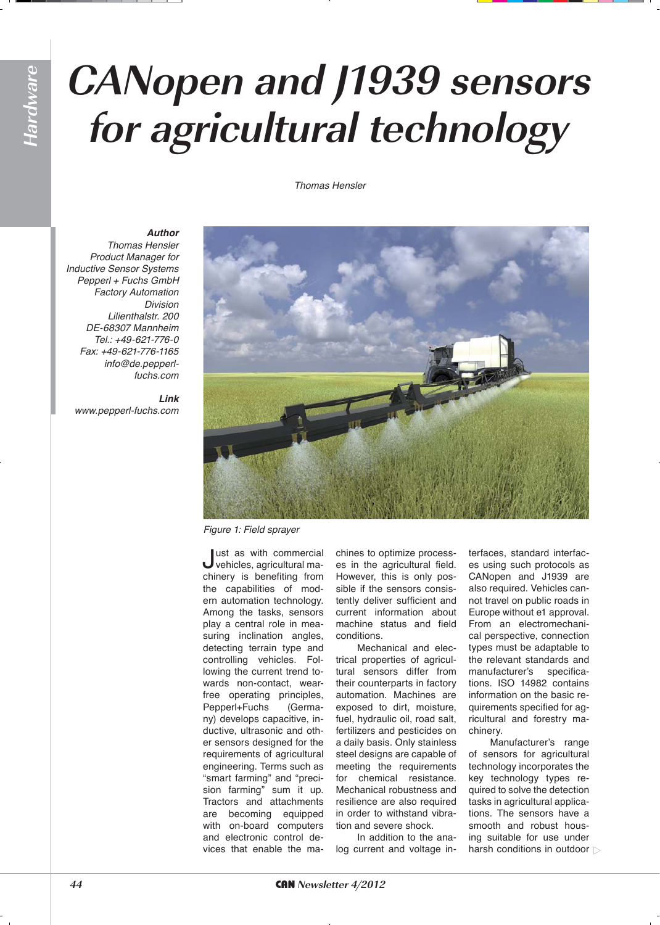# **Hardware**

# **CANopen and J1939 sensors for agricultural technology**

### *Thomas Hensler*

*Author*

*Thomas Hensler Product Manager for*  Inductive Sensor Systems *Pepperl + Fuchs GmbH Factory Automation Division Lilienthalstr. 200* DE-68307 Mannheim Tel.: +49-621-776-0 Fax: +49-621-776-1165 *info@de.pepperlfuchs.com*

*Link www.pepperl-fuchs.com*



*Figure 1: Field sprayer*

Just as with commercial vehicles, agricultural machinery is benefiting from the capabilities of modern automation technology. Among the tasks, sensors play a central role in measuring inclination angles, detecting terrain type and controlling vehicles. Following the current trend towards non-contact, wearfree operating principles, Pepperl+Fuchs (Germany) develops capacitive, inductive, ultrasonic and other sensors designed for the requirements of agricultural engineering. Terms such as "smart farming" and "precision farming" sum it up. Tractors and attachments are becoming equipped with on-board computers and electronic control devices that enable the machines to optimize processes in the agricultural field. However, this is only possible if the sensors consistently deliver sufficient and current information about machine status and field conditions.

Mechanical and electrical properties of agricultural sensors differ from their counterparts in factory automation. Machines are exposed to dirt, moisture, fuel, hydraulic oil, road salt, fertilizers and pesticides on a daily basis. Only stainless steel designs are capable of meeting the requirements for chemical resistance. Mechanical robustness and resilience are also required in order to withstand vibration and severe shock.

In addition to the analog current and voltage interfaces, standard interfaces using such protocols as CANopen and J1939 are also required. Vehicles cannot travel on public roads in Europe without e1 approval. From an electromechanical perspective, connection types must be adaptable to the relevant standards and manufacturer's specifications. ISO 14982 contains information on the basic requirements specified for agricultural and forestry machinery.

Manufacturer's range of sensors for agricultural technology incorporates the key technology types required to solve the detection tasks in agricultural applications. The sensors have a smooth and robust housing suitable for use under harsh conditions in outdoor  $\triangleright$